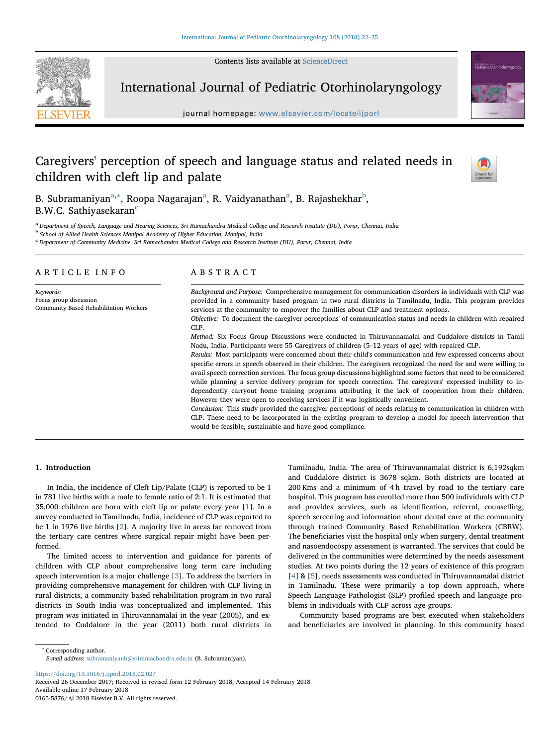Contents lists available at [ScienceDirect](http://www.sciencedirect.com/science/journal/01655876)



International Journal of Pediatric Otorhinolaryngology

journal homepage: [www.elsevier.com/locate/ijporl](https://www.elsevier.com/locate/ijporl)



# Caregivers' perception of speech and language status and related needs in children with cleft lip and palate



B. Subramaniyan<sup>[a,](#page-0-0)</sup>\*, Roop[a](#page-0-0) Nagarajan<sup>a</sup>, R. Vaidyanathan<sup>a</sup>, B. Rajashekhar<sup>[b](#page-0-2)</sup>, B.W.C. Sathiyasekaran<sup>[c](#page-0-3)</sup>

<span id="page-0-0"></span>a Department of Speech, Language and Hearing Sciences, Sri Ramachandra Medical College and Research Institute (DU), Porur, Chennai, India

<span id="page-0-2"></span><sup>b</sup> School of Allied Health Sciences Manipal Academy of Higher Education, Manipal, India

<span id="page-0-3"></span><sup>c</sup> Department of Community Medicine, Sri Ramachandra Medical College and Research Institute (DU), Porur, Chennai, India

# ARTICLE INFO

Keywords: Focus group discussion Community Based Rehabilitation Workers

# ABSTRACT

Background and Purpose: Comprehensive management for communication disorders in individuals with CLP was provided in a community based program in two rural districts in Tamilnadu, India. This program provides services at the community to empower the families about CLP and treatment options.

Objective: To document the caregiver perceptions' of communication status and needs in children with repaired CLP.

Method: Six Focus Group Discussions were conducted in Thiruvannamalai and Cuddalore districts in Tamil Nadu, India. Participants were 55 Caregivers of children (5–12 years of age) with repaired CLP.

Results: Most participants were concerned about their child's communication and few expressed concerns about specific errors in speech observed in their children. The caregivers recognized the need for and were willing to avail speech correction services. The focus group discussions highlighted some factors that need to be considered while planning a service delivery program for speech correction. The caregivers' expressed inability to independently carryout home training programs attributing it the lack of cooperation from their children. However they were open to receiving services if it was logistically convenient.

Conclusion: This study provided the caregiver perceptions' of needs relating to communication in children with CLP. These need to be incorporated in the existing program to develop a model for speech intervention that would be feasible, sustainable and have good compliance.

# 1. Introduction

In India, the incidence of Cleft Lip/Palate (CLP) is reported to be 1 in 781 live births with a male to female ratio of 2:1. It is estimated that 35,000 children are born with cleft lip or palate every year [\[1\]](#page-3-0). In a survey conducted in Tamilnadu, India, incidence of CLP was reported to be 1 in 1976 live births [\[2\]](#page-3-1). A majority live in areas far removed from the tertiary care centres where surgical repair might have been performed.

The limited access to intervention and guidance for parents of children with CLP about comprehensive long term care including speech intervention is a major challenge [[3](#page-3-2)]. To address the barriers in providing comprehensive management for children with CLP living in rural districts, a community based rehabilitation program in two rural districts in South India was conceptualized and implemented. This program was initiated in Thiruvannamalai in the year (2005), and extended to Cuddalore in the year (2011) both rural districts in Tamilnadu, India. The area of Thiruvannamalai district is 6,192sqkm and Cuddalore district is 3678 sqkm. Both districts are located at 200 Kms and a minimum of 4 h travel by road to the tertiary care hospital. This program has enrolled more than 500 individuals with CLP and provides services, such as identification, referral, counselling, speech screening and information about dental care at the community through trained Community Based Rehabilitation Workers (CBRW). The beneficiaries visit the hospital only when surgery, dental treatment and nasoendocospy assessment is warranted. The services that could be delivered in the communities were determined by the needs assessment studies. At two points during the 12 years of existence of this program [[4](#page-3-3)]&[[5](#page-3-4)], needs assessments was conducted in Thiruvannamalai district in Tamilnadu. These were primarily a top down approach, where Speech Language Pathologist (SLP) profiled speech and language problems in individuals with CLP across age groups.

Community based programs are best executed when stakeholders and beneficiaries are involved in planning. In this community based

<span id="page-0-1"></span><sup>∗</sup> Corresponding author.

E-mail address: [subramaniyanb@sriramachandra.edu.in](mailto:subramaniyanb@sriramachandra.edu.in) (B. Subramaniyan).

<https://doi.org/10.1016/j.ijporl.2018.02.027>

Received 26 December 2017; Received in revised form 12 February 2018; Accepted 14 February 2018 Available online 17 February 2018 0165-5876/ © 2018 Elsevier B.V. All rights reserved.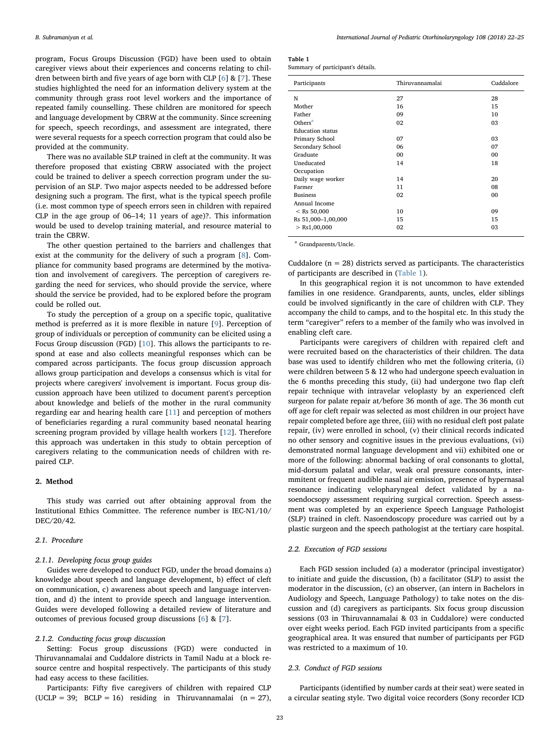program, Focus Groups Discussion (FGD) have been used to obtain caregiver views about their experiences and concerns relating to children between birth and five years of age born with CLP  $[6]$  $[6]$  $[6]$  &  $[7]$ . These studies highlighted the need for an information delivery system at the community through grass root level workers and the importance of repeated family counselling. These children are monitored for speech and language development by CBRW at the community. Since screening for speech, speech recordings, and assessment are integrated, there were several requests for a speech correction program that could also be provided at the community.

There was no available SLP trained in cleft at the community. It was therefore proposed that existing CBRW associated with the project could be trained to deliver a speech correction program under the supervision of an SLP. Two major aspects needed to be addressed before designing such a program. The first, what is the typical speech profile (i.e. most common type of speech errors seen in children with repaired CLP in the age group of 06–14; 11 years of age)?. This information would be used to develop training material, and resource material to train the CBRW.

The other question pertained to the barriers and challenges that exist at the community for the delivery of such a program [[8](#page-3-7)]. Compliance for community based programs are determined by the motivation and involvement of caregivers. The perception of caregivers regarding the need for services, who should provide the service, where should the service be provided, had to be explored before the program could be rolled out.

To study the perception of a group on a specific topic, qualitative method is preferred as it is more flexible in nature [[9](#page-3-8)]. Perception of group of individuals or perception of community can be elicited using a Focus Group discussion (FGD) [[10\]](#page-3-9). This allows the participants to respond at ease and also collects meaningful responses which can be compared across participants. The focus group discussion approach allows group participation and develops a consensus which is vital for projects where caregivers' involvement is important. Focus group discussion approach have been utilized to document parent's perception about knowledge and beliefs of the mother in the rural community regarding ear and hearing health care [\[11](#page-3-10)] and perception of mothers of beneficiaries regarding a rural community based neonatal hearing screening program provided by village health workers [\[12](#page-3-11)]. Therefore this approach was undertaken in this study to obtain perception of caregivers relating to the communication needs of children with repaired CLP.

## 2. Method

This study was carried out after obtaining approval from the Institutional Ethics Committee. The reference number is IEC-N1/10/ DEC/20/42.

### 2.1. Procedure

#### 2.1.1. Developing focus group guides

Guides were developed to conduct FGD, under the broad domains a) knowledge about speech and language development, b) effect of cleft on communication, c) awareness about speech and language intervention, and d) the intent to provide speech and language intervention. Guides were developed following a detailed review of literature and outcomes of previous focused group discussions [[6](#page-3-5)] & [\[7\]](#page-3-6).

# 2.1.2. Conducting focus group discussion

Setting: Focus group discussions (FGD) were conducted in Thiruvannamalai and Cuddalore districts in Tamil Nadu at a block resource centre and hospital respectively. The participants of this study had easy access to these facilities.

Participants: Fifty five caregivers of children with repaired CLP (UCLP = 39; BCLP = 16) residing in Thiruvannamalai  $(n = 27)$ , <span id="page-1-0"></span>Table 1

| . |                                   |  |
|---|-----------------------------------|--|
|   | Summary of participant's détails. |  |

| Participants            | Thiruvannamalai | Cuddalore |
|-------------------------|-----------------|-----------|
| N                       | 27              | 28        |
| Mother                  | 16              | 15        |
| Father                  | 09              | 10        |
| Others <sup>a</sup>     | 02              | 03        |
| <b>Education status</b> |                 |           |
| Primary School          | 07              | 03        |
| Secondary School        | 06              | 07        |
| Graduate                | 00              | 00        |
| Uneducated              | 14              | 18        |
| Occupation              |                 |           |
| Daily wage worker       | 14              | 20        |
| Farmer                  | 11              | 08        |
| <b>Business</b>         | 02              | 00        |
| Annual Income           |                 |           |
| $<$ Rs 50,000           | 10              | 09        |
| Rs 51,000-1,00,000      | 15              | 15        |
| $>$ Rs1,00,000          | 02              | 03        |
|                         |                 |           |

<span id="page-1-1"></span><sup>a</sup> Grandparents/Uncle

Cuddalore ( $n = 28$ ) districts served as participants. The characteristics of participants are described in [\(Table 1\)](#page-1-0).

In this geographical region it is not uncommon to have extended families in one residence. Grandparents, aunts, uncles, elder siblings could be involved significantly in the care of children with CLP. They accompany the child to camps, and to the hospital etc. In this study the term "caregiver" refers to a member of the family who was involved in enabling cleft care.

Participants were caregivers of children with repaired cleft and were recruited based on the characteristics of their children. The data base was used to identify children who met the following criteria, (i) were children between 5 & 12 who had undergone speech evaluation in the 6 months preceding this study, (ii) had undergone two flap cleft repair technique with intravelar veloplasty by an experienced cleft surgeon for palate repair at/before 36 month of age. The 36 month cut off age for cleft repair was selected as most children in our project have repair completed before age three, (iii) with no residual cleft post palate repair, (iv) were enrolled in school, (v) their clinical records indicated no other sensory and cognitive issues in the previous evaluations, (vi) demonstrated normal language development and vii) exhibited one or more of the following: abnormal backing of oral consonants to glottal, mid-dorsum palatal and velar, weak oral pressure consonants, intermmitent or frequent audible nasal air emission, presence of hypernasal resonance indicating velopharyngeal defect validated by a nasoendocsopy assessment requiring surgical correction. Speech assessment was completed by an experience Speech Language Pathologist (SLP) trained in cleft. Nasoendoscopy procedure was carried out by a plastic surgeon and the speech pathologist at the tertiary care hospital.

#### 2.2. Execution of FGD sessions

Each FGD session included (a) a moderator (principal investigator) to initiate and guide the discussion, (b) a facilitator (SLP) to assist the moderator in the discussion, (c) an observer, (an intern in Bachelors in Audiology and Speech, Language Pathology) to take notes on the discussion and (d) caregivers as participants. Six focus group discussion sessions (03 in Thiruvannamalai & 03 in Cuddalore) were conducted over eight weeks period. Each FGD invited participants from a specific geographical area. It was ensured that number of participants per FGD was restricted to a maximum of 10.

#### 2.3. Conduct of FGD sessions

Participants (identified by number cards at their seat) were seated in a circular seating style. Two digital voice recorders (Sony recorder ICD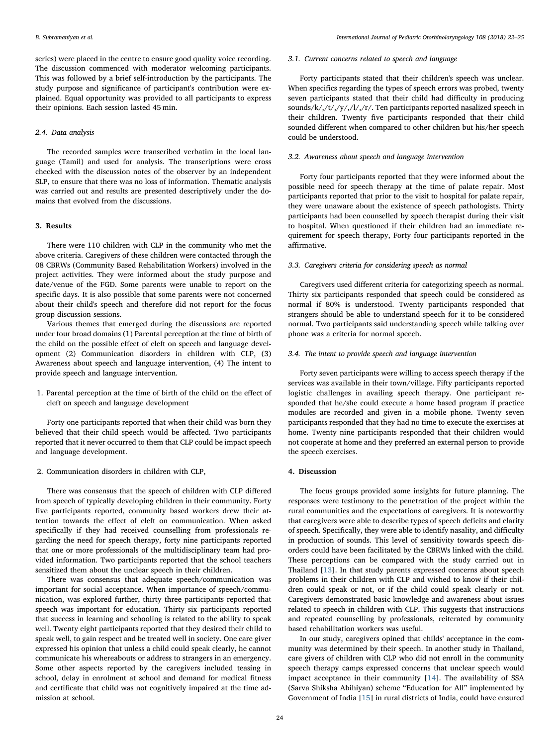series) were placed in the centre to ensure good quality voice recording. The discussion commenced with moderator welcoming participants. This was followed by a brief self-introduction by the participants. The study purpose and significance of participant's contribution were explained. Equal opportunity was provided to all participants to express their opinions. Each session lasted 45 min.

## 2.4. Data analysis

The recorded samples were transcribed verbatim in the local language (Tamil) and used for analysis. The transcriptions were cross checked with the discussion notes of the observer by an independent SLP, to ensure that there was no loss of information. Thematic analysis was carried out and results are presented descriptively under the domains that evolved from the discussions.

#### 3. Results

There were 110 children with CLP in the community who met the above criteria. Caregivers of these children were contacted through the 08 CBRWs (Community Based Rehabilitation Workers) involved in the project activities. They were informed about the study purpose and date/venue of the FGD. Some parents were unable to report on the specific days. It is also possible that some parents were not concerned about their child's speech and therefore did not report for the focus group discussion sessions.

Various themes that emerged during the discussions are reported under four broad domains (1) Parental perception at the time of birth of the child on the possible effect of cleft on speech and language development (2) Communication disorders in children with CLP, (3) Awareness about speech and language intervention, (4) The intent to provide speech and language intervention.

1. Parental perception at the time of birth of the child on the effect of cleft on speech and language development

Forty one participants reported that when their child was born they believed that their child speech would be affected. Two participants reported that it never occurred to them that CLP could be impact speech and language development.

2. Communication disorders in children with CLP,

There was consensus that the speech of children with CLP differed from speech of typically developing children in their community. Forty five participants reported, community based workers drew their attention towards the effect of cleft on communication. When asked specifically if they had received counselling from professionals regarding the need for speech therapy, forty nine participants reported that one or more professionals of the multidisciplinary team had provided information. Two participants reported that the school teachers sensitized them about the unclear speech in their children.

There was consensus that adequate speech/communication was important for social acceptance. When importance of speech/communication, was explored further, thirty three participants reported that speech was important for education. Thirty six participants reported that success in learning and schooling is related to the ability to speak well. Twenty eight participants reported that they desired their child to speak well, to gain respect and be treated well in society. One care giver expressed his opinion that unless a child could speak clearly, he cannot communicate his whereabouts or address to strangers in an emergency. Some other aspects reported by the caregivers included teasing in school, delay in enrolment at school and demand for medical fitness and certificate that child was not cognitively impaired at the time admission at school.

#### 3.1. Current concerns related to speech and language

Forty participants stated that their children's speech was unclear. When specifics regarding the types of speech errors was probed, twenty seven participants stated that their child had difficulty in producing sounds/k/,/t/,/y/,/l/,/r/. Ten participants reported nasalized speech in their children. Twenty five participants responded that their child sounded different when compared to other children but his/her speech could be understood.

## 3.2. Awareness about speech and language intervention

Forty four participants reported that they were informed about the possible need for speech therapy at the time of palate repair. Most participants reported that prior to the visit to hospital for palate repair, they were unaware about the existence of speech pathologists. Thirty participants had been counselled by speech therapist during their visit to hospital. When questioned if their children had an immediate requirement for speech therapy, Forty four participants reported in the affirmative.

#### 3.3. Caregivers criteria for considering speech as normal

Caregivers used different criteria for categorizing speech as normal. Thirty six participants responded that speech could be considered as normal if 80% is understood. Twenty participants responded that strangers should be able to understand speech for it to be considered normal. Two participants said understanding speech while talking over phone was a criteria for normal speech.

## 3.4. The intent to provide speech and language intervention

Forty seven participants were willing to access speech therapy if the services was available in their town/village. Fifty participants reported logistic challenges in availing speech therapy. One participant responded that he/she could execute a home based program if practice modules are recorded and given in a mobile phone. Twenty seven participants responded that they had no time to execute the exercises at home. Twenty nine participants responded that their children would not cooperate at home and they preferred an external person to provide the speech exercises.

## 4. Discussion

The focus groups provided some insights for future planning. The responses were testimony to the penetration of the project within the rural communities and the expectations of caregivers. It is noteworthy that caregivers were able to describe types of speech deficits and clarity of speech. Specifically, they were able to identify nasality, and difficulty in production of sounds. This level of sensitivity towards speech disorders could have been facilitated by the CBRWs linked with the child. These perceptions can be compared with the study carried out in Thailand [\[13](#page-3-12)]. In that study parents expressed concerns about speech problems in their children with CLP and wished to know if their children could speak or not, or if the child could speak clearly or not. Caregivers demonstrated basic knowledge and awareness about issues related to speech in children with CLP. This suggests that instructions and repeated counselling by professionals, reiterated by community based rehabilitation workers was useful.

In our study, caregivers opined that childs' acceptance in the community was determined by their speech. In another study in Thailand, care givers of children with CLP who did not enroll in the community speech therapy camps expressed concerns that unclear speech would impact acceptance in their community [[14\]](#page-3-13). The availability of SSA (Sarva Shiksha Abihiyan) scheme "Education for All" implemented by Government of India [[15\]](#page-3-14) in rural districts of India, could have ensured